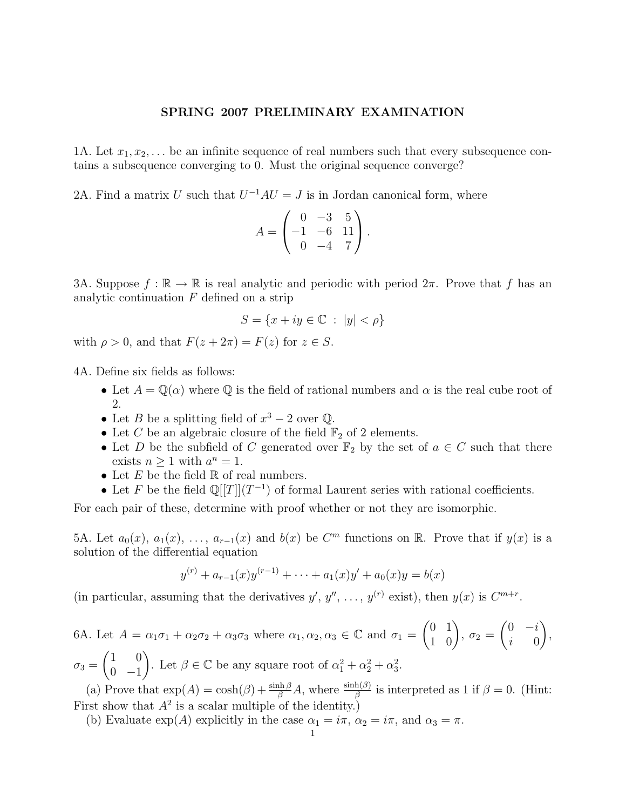## SPRING 2007 PRELIMINARY EXAMINATION

1A. Let  $x_1, x_2, \ldots$  be an infinite sequence of real numbers such that every subsequence contains a subsequence converging to 0. Must the original sequence converge?

2A. Find a matrix U such that  $U^{-1}AU = J$  is in Jordan canonical form, where

$$
A = \begin{pmatrix} 0 & -3 & 5 \\ -1 & -6 & 11 \\ 0 & -4 & 7 \end{pmatrix}.
$$

3A. Suppose  $f : \mathbb{R} \to \mathbb{R}$  is real analytic and periodic with period  $2\pi$ . Prove that f has an analytic continuation  $F$  defined on a strip

$$
S = \{x + iy \in \mathbb{C} \ : \ |y| < \rho\}
$$

with  $\rho > 0$ , and that  $F(z + 2\pi) = F(z)$  for  $z \in S$ .

4A. Define six fields as follows:

- Let  $A = \mathbb{Q}(\alpha)$  where  $\mathbb Q$  is the field of rational numbers and  $\alpha$  is the real cube root of 2.
- Let *B* be a splitting field of  $x^3 2$  over  $\mathbb{Q}$ .
- Let C be an algebraic closure of the field  $\mathbb{F}_2$  of 2 elements.
- Let D be the subfield of C generated over  $\mathbb{F}_2$  by the set of  $a \in C$  such that there exists  $n \geq 1$  with  $a^n = 1$ .
- Let  $E$  be the field  $\mathbb R$  of real numbers.
- Let F be the field  $\mathbb{Q}[[T]](T^{-1})$  of formal Laurent series with rational coefficients.

For each pair of these, determine with proof whether or not they are isomorphic.

5A. Let  $a_0(x)$ ,  $a_1(x)$ , ...,  $a_{r-1}(x)$  and  $b(x)$  be  $C^m$  functions on R. Prove that if  $y(x)$  is a solution of the differential equation

$$
y^{(r)} + a_{r-1}(x)y^{(r-1)} + \dots + a_1(x)y' + a_0(x)y = b(x)
$$

(in particular, assuming that the derivatives  $y', y'', \ldots, y^{(r)}$  exist), then  $y(x)$  is  $C^{m+r}$ .

6A. Let  $A = \alpha_1 \sigma_1 + \alpha_2 \sigma_2 + \alpha_3 \sigma_3$  where  $\alpha_1, \alpha_2, \alpha_3 \in \mathbb{C}$  and  $\sigma_1 = \begin{pmatrix} 0 & 1 \\ 1 & 0 \end{pmatrix}$ ,  $\sigma_2 =$  $\begin{pmatrix} 0 & -i \end{pmatrix}$  $i \qquad 0$  $\setminus$ ,  $\sigma_3 =$  $(1 \ 0)$  $0 -1$ ). Let  $\beta \in \mathbb{C}$  be any square root of  $\alpha_1^2 + \alpha_2^2 + \alpha_3^2$ .

(a) Prove that  $\exp(A) = \cosh(\beta) + \frac{\sinh(\beta)}{\beta} A$ , where  $\frac{\sinh(\beta)}{\beta}$  is interpreted as 1 if  $\beta = 0$ . (Hint: First show that  $A^2$  is a scalar multiple of the identity.)

(b) Evaluate  $\exp(A)$  explicitly in the case  $\alpha_1 = i\pi$ ,  $\alpha_2 = i\pi$ , and  $\alpha_3 = \pi$ .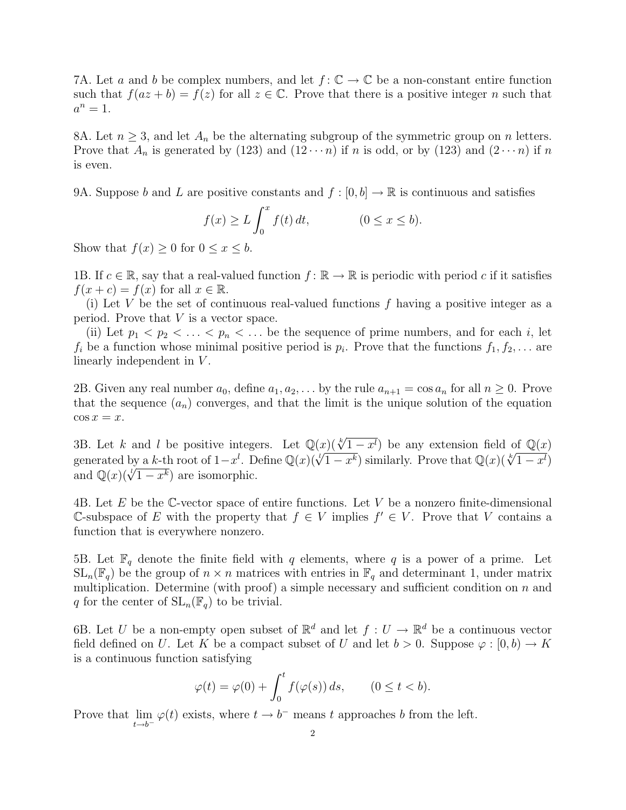7A. Let a and b be complex numbers, and let  $f: \mathbb{C} \to \mathbb{C}$  be a non-constant entire function such that  $f(az + b) = f(z)$  for all  $z \in \mathbb{C}$ . Prove that there is a positive integer n such that  $a^n=1$ .

8A. Let  $n \geq 3$ , and let  $A_n$  be the alternating subgroup of the symmetric group on n letters. Prove that  $A_n$  is generated by (123) and (12 $\cdots$ n) if n is odd, or by (123) and (2 $\cdots$ n) if n is even.

9A. Suppose b and L are positive constants and  $f : [0, b] \to \mathbb{R}$  is continuous and satisfies

$$
f(x) \ge L \int_0^x f(t) dt, \qquad (0 \le x \le b).
$$

Show that  $f(x) \geq 0$  for  $0 \leq x \leq b$ .

1B. If  $c \in \mathbb{R}$ , say that a real-valued function  $f : \mathbb{R} \to \mathbb{R}$  is periodic with period c if it satisfies  $f(x+c) = f(x)$  for all  $x \in \mathbb{R}$ .

(i) Let V be the set of continuous real-valued functions  $f$  having a positive integer as a period. Prove that V is a vector space.

(ii) Let  $p_1 < p_2 < \ldots < p_n < \ldots$  be the sequence of prime numbers, and for each i, let  $f_i$  be a function whose minimal positive period is  $p_i$ . Prove that the functions  $f_1, f_2, \ldots$  are linearly independent in V.

2B. Given any real number  $a_0$ , define  $a_1, a_2, \ldots$  by the rule  $a_{n+1} = \cos a_n$  for all  $n \geq 0$ . Prove that the sequence  $(a_n)$  converges, and that the limit is the unique solution of the equation  $\cos x = x$ .

3B. Let k and l be positive integers. Let  $\mathbb{Q}(x)$  ( $\sqrt[k]{1-x^l}$ ) be any extension field of  $\mathbb{Q}(x)$ similarly. Let k and l be positive integers. Let  $\mathbb{Q}(x)(\sqrt{1-x^k})$  be any extension field of  $\mathbb{Q}(x)$ <br>generated by a k-th root of  $1-x^l$ . Define  $\mathbb{Q}(x)(\sqrt[l]{1-x^k})$  similarly. Prove that  $\mathbb{Q}(x)(\sqrt[k]{1-x^l})$ generated by a *k*-th root of  $1-x$ . D<br>and  $\mathbb{Q}(x)(\sqrt{l}1-x^k)$  are isomorphic.

4B. Let E be the C-vector space of entire functions. Let V be a nonzero finite-dimensional C-subspace of E with the property that  $f$  ∈ V implies  $f'$  ∈ V. Prove that V contains a function that is everywhere nonzero.

5B. Let  $\mathbb{F}_q$  denote the finite field with q elements, where q is a power of a prime. Let  $SL_n(\mathbb{F}_q)$  be the group of  $n \times n$  matrices with entries in  $\mathbb{F}_q$  and determinant 1, under matrix multiplication. Determine (with proof) a simple necessary and sufficient condition on  $n$  and q for the center of  $SL_n(\mathbb{F}_q)$  to be trivial.

6B. Let U be a non-empty open subset of  $\mathbb{R}^d$  and let  $f: U \to \mathbb{R}^d$  be a continuous vector field defined on U. Let K be a compact subset of U and let  $b > 0$ . Suppose  $\varphi : [0, b) \to K$ is a continuous function satisfying

$$
\varphi(t) = \varphi(0) + \int_0^t f(\varphi(s)) ds, \qquad (0 \le t < b).
$$

Prove that  $\lim_{t \to b^-} \varphi(t)$  exists, where  $t \to b^-$  means t approaches b from the left.